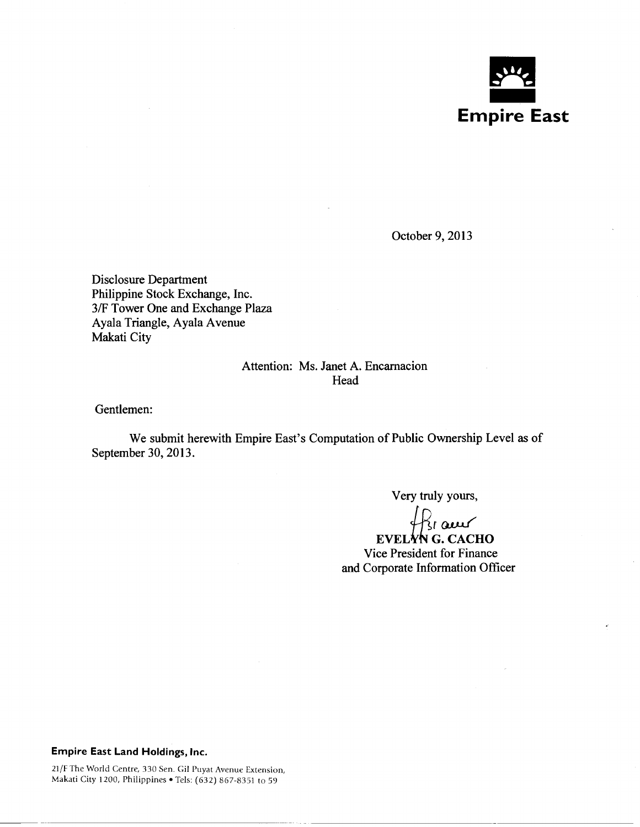

October 9, 2013

Disclosure Department Philippine Stock Exchange, Inc. 3/F Tower One and Exchange Plaza Ayala Triangle, Ayala A venue Makati City

# Attention: Ms. Janet A. Encarnacion Head

Gentlemen:

We submit herewith Empire East's Computation of Public Ownership Level as of September 30, 2013.

Very truly yours,

 $R_{\rm I}$  aw

EVELYN G. CACHO Vice President for Finance and Corporate Information Officer

#### Empire East Land Holdings, Inc.

21/F The World Centre, 330 Sen. Gil Puyat Avenue Extension, Makati City 1200, Philippines • Tels: (632) 867-8351 to 59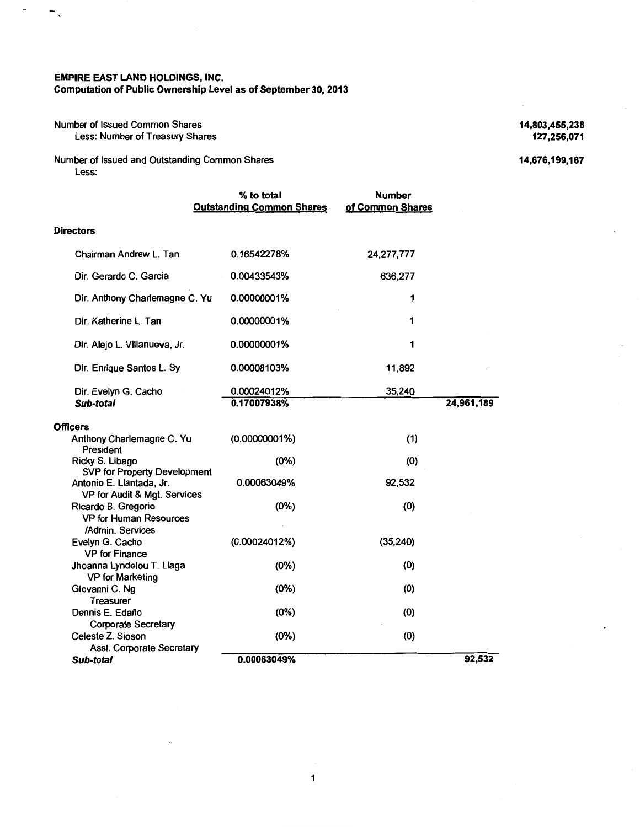### EMPIRE EAST LAND HOLDINGS, INC. Computation of Public Ownership Level as of September 30, 2013

### Number of Issued Common Shares Less: Number of Treasury Shares

 $\hat{\phantom{a}}$ 

 $\overline{a}$ 

Number of Issued and Outstanding Common Shares Less:

|                                                                          | % to total<br><b>Outstanding Common Shares</b> | <b>Number</b><br>of Common Shares |            |
|--------------------------------------------------------------------------|------------------------------------------------|-----------------------------------|------------|
| <b>Directors</b>                                                         |                                                |                                   |            |
| Chairman Andrew L. Tan                                                   | 0.16542278%                                    | 24,277,777                        |            |
| Dir. Gerardo C. Garcia                                                   | 0.00433543%                                    | 636,277                           |            |
| Dir. Anthony Charlemagne C. Yu                                           | 0.00000001%                                    | 1                                 |            |
| Dir. Katherine L. Tan                                                    | 0.00000001%                                    | 1                                 |            |
| Dir. Alejo L. Villanueva, Jr.                                            | 0.00000001%                                    | 1                                 |            |
| Dir. Enrique Santos L. Sy                                                | 0.00008103%                                    | 11,892                            |            |
| Dir. Evelyn G. Cacho<br>Sub-total                                        | 0.00024012%<br>0.17007938%                     | 35,240                            | 24,961,189 |
| <b>Officers</b>                                                          |                                                |                                   |            |
| Anthony Charlemagne C. Yu<br>President                                   | $(0.00000001\%)$                               | (1)                               |            |
| Ricky S. Libago<br><b>SVP for Property Development</b>                   | (0%)                                           | (0)                               |            |
| Antonio E. Llantada, Jr.<br>VP for Audit & Mgt. Services                 | 0.00063049%                                    | 92,532                            |            |
| Ricardo B. Gregorio<br><b>VP for Human Resources</b><br>/Admin. Services | (0%)                                           | (0)                               |            |
| Evelyn G. Cacho<br><b>VP</b> for Finance                                 | (0.00024012%)                                  | (35, 240)                         |            |
| Jhoanna Lyndelou T. Llaga<br><b>VP for Marketing</b>                     | (0%)                                           | (0)                               |            |
| Giovanni C. Ng<br><b>Treasurer</b>                                       | (0%)                                           | (0)                               |            |
| Dennis E. Edaño<br><b>Corporate Secretary</b>                            | (0%)                                           | (0)                               |            |
| Celeste Z. Sioson<br>Asst. Corporate Secretary                           | (0%)                                           | (0)                               |            |
| Sub-total                                                                | 0.00063049%                                    |                                   | 92,532     |

14,803,455,238 127,256,071

14,676,199,167